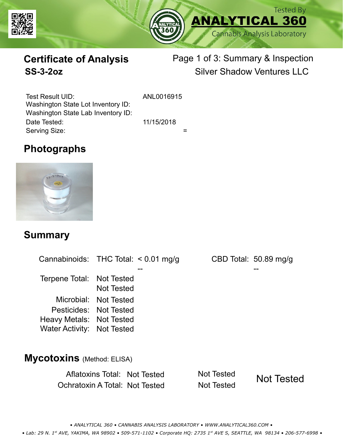



# **Certificate of Analysis**

# Page 1 of 3: Summary & Inspection **SS-3-2oz** Silver Shadow Ventures LLC

Serving Size:  $=$ Test Result UID: ANL0016915 Date Tested: 11/15/2018 Washington State Lot Inventory ID: Washington State Lab Inventory ID:

# **Photographs**



### **Summary**

Cannabinoids: THC Total:  $< 0.01$  mg/g Terpene Total: Not Tested Microbial: Not Tested CBD Total: 50.89 mg/g Pesticides: Not Tested Heavy Metals: Not Tested -- -- Not Tested Water Activity: Not Tested **Mycotoxins** (Method: ELISA)

> Aflatoxins Total: Not Tested Not Tested Ochratoxin A Total: Not Tested Not Tested Not Tested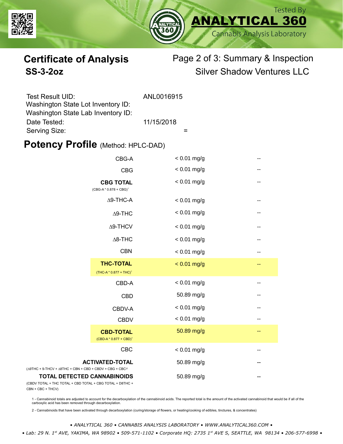



# **Certificate of Analysis** Page 2 of 3: Summary & Inspection **SS-3-2oz** Silver Shadow Ventures LLC

| Test Result UID:<br>Washington State Lot Inventory ID: | ANL0016915 |
|--------------------------------------------------------|------------|
| Washington State Lab Inventory ID:                     |            |
| Date Tested:                                           | 11/15/2018 |
| Serving Size:                                          |            |

### **Potency Profile (Method: HPLC-DAD)**

|                                                                                           | CBG-A                                                  | $< 0.01$ mg/g | -- |
|-------------------------------------------------------------------------------------------|--------------------------------------------------------|---------------|----|
|                                                                                           | <b>CBG</b>                                             | $< 0.01$ mg/g | -- |
| <b>CBG TOTAL</b><br>$(CBG-A * 0.878 + CBG)^1$<br>$\Delta$ 9-THC-A<br>$\Delta$ 9-THC       |                                                        | $< 0.01$ mg/g | -- |
|                                                                                           |                                                        | $< 0.01$ mg/g | -- |
|                                                                                           |                                                        | $< 0.01$ mg/g | -- |
|                                                                                           | $\Delta$ 9-THCV                                        | $< 0.01$ mg/g | -- |
|                                                                                           | $\Delta$ 8-THC                                         | $< 0.01$ mg/g | -- |
|                                                                                           | <b>CBN</b>                                             | $< 0.01$ mg/g | -- |
|                                                                                           | <b>THC-TOTAL</b><br>(THC-A * 0.877 + THC) <sup>1</sup> | $< 0.01$ mg/g | -- |
|                                                                                           | CBD-A                                                  | $< 0.01$ mg/g | -- |
|                                                                                           | <b>CBD</b>                                             | 50.89 mg/g    | -- |
|                                                                                           | CBDV-A                                                 | $< 0.01$ mg/g | -- |
|                                                                                           | <b>CBDV</b>                                            | $< 0.01$ mg/g | -- |
|                                                                                           | <b>CBD-TOTAL</b><br>$(CBD-A * 0.877 + CBD)^1$          | 50.89 mg/g    | -- |
|                                                                                           | <b>CBC</b>                                             | $< 0.01$ mg/g |    |
| + 9-THCV + $\triangle$ 8THC + CBN + CBD + CBDV + CBG + CBC <sup>22</sup>                  | <b>ACTIVATED-TOTAL</b>                                 | 50.89 mg/g    |    |
| <b>TOTAL DETECTED CANNABINOIDS</b><br>TOTAL + THC TOTAL + CBD TOTAL + CBG TOTAL + D8THC + |                                                        | 50.89 mg/g    |    |

(CBDV TOTAL + THC TOTAL CBN + CBC + THCV)

(∆9THC + 9-THCV + ∆8THC

1 - Cannabinoid totals are adjusted to account for the decarboxylation of the cannabinoid acids. The reported total is the amount of the activated cannabinoid that would be if all of the<br>carboxylic acid has been removed th

2 - Cannabinoids that have been activated through decarboxylation (curing/storage of flowers, or heating/cooking of edibles, tinctures, & concentrates)

*• ANALYTICAL 360 • CANNABIS ANALYSIS LABORATORY • WWW.ANALYTICAL360.COM •*

 *• Lab: 29 N. 1st AVE, YAKIMA, WA 98902 • 509-571-1102 • Corporate HQ: 2735 1st AVE S, SEATTLE, WA 98134 • 206-577-6998 •*